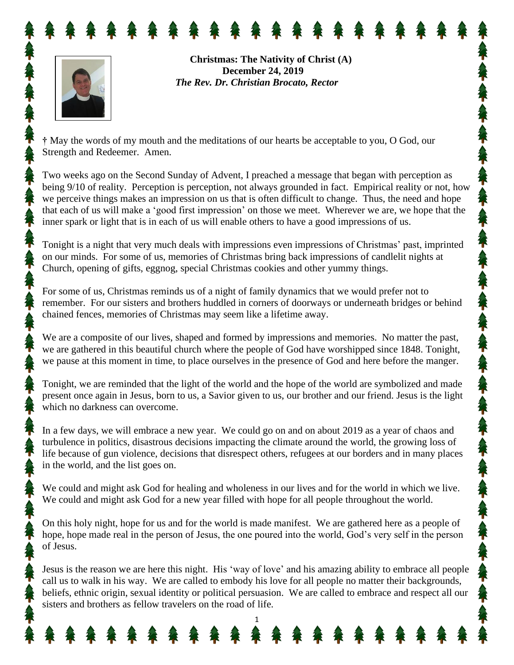

**Christmas: The Nativity of Christ (A) December 24, 2019** *The Rev. Dr. Christian Brocato, Rector*

**†** May the words of my mouth and the meditations of our hearts be acceptable to you, O God, our Strength and Redeemer. Amen.

Two weeks ago on the Second Sunday of Advent, I preached a message that began with perception as being 9/10 of reality. Perception is perception, not always grounded in fact. Empirical reality or not, how we perceive things makes an impression on us that is often difficult to change. Thus, the need and hope that each of us will make a 'good first impression' on those we meet. Wherever we are, we hope that the inner spark or light that is in each of us will enable others to have a good impressions of us.

Tonight is a night that very much deals with impressions even impressions of Christmas' past, imprinted on our minds. For some of us, memories of Christmas bring back impressions of candlelit nights at Church, opening of gifts, eggnog, special Christmas cookies and other yummy things.

For some of us, Christmas reminds us of a night of family dynamics that we would prefer not to remember. For our sisters and brothers huddled in corners of doorways or underneath bridges or behind chained fences, memories of Christmas may seem like a lifetime away.

We are a composite of our lives, shaped and formed by impressions and memories. No matter the past, we are gathered in this beautiful church where the people of God have worshipped since 1848. Tonight, we pause at this moment in time, to place ourselves in the presence of God and here before the manger.

Tonight, we are reminded that the light of the world and the hope of the world are symbolized and made present once again in Jesus, born to us, a Savior given to us, our brother and our friend. Jesus is the light which no darkness can overcome.

In a few days, we will embrace a new year. We could go on and on about 2019 as a year of chaos and turbulence in politics, disastrous decisions impacting the climate around the world, the growing loss of life because of gun violence, decisions that disrespect others, refugees at our borders and in many places in the world, and the list goes on.

We could and might ask God for healing and wholeness in our lives and for the world in which we live. We could and might ask God for a new year filled with hope for all people throughout the world.

On this holy night, hope for us and for the world is made manifest. We are gathered here as a people of hope, hope made real in the person of Jesus, the one poured into the world, God's very self in the person of Jesus.

Jesus is the reason we are here this night. His 'way of love' and his amazing ability to embrace all people call us to walk in his way. We are called to embody his love for all people no matter their backgrounds, beliefs, ethnic origin, sexual identity or political persuasion. We are called to embrace and respect all our sisters and brothers as fellow travelers on the road of life.

1